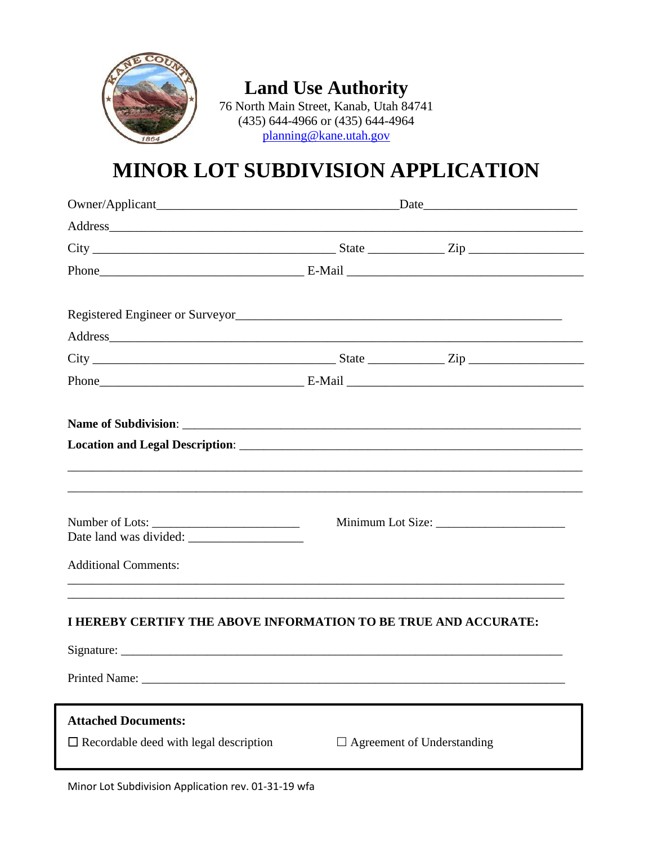

### **Land Use Authority**

76 North Main Street, Kanab, Utah 84741 (435) 644-4966 or (435) 644-4964 planning@kane.utah.gov

# MINOR LOT SUBDIVISION APPLICATION

| Address and the contract of the contract of the contract of the contract of the contract of the contract of the contract of the contract of the contract of the contract of the contract of the contract of the contract of th |  |                                   |  |
|--------------------------------------------------------------------------------------------------------------------------------------------------------------------------------------------------------------------------------|--|-----------------------------------|--|
|                                                                                                                                                                                                                                |  |                                   |  |
|                                                                                                                                                                                                                                |  |                                   |  |
|                                                                                                                                                                                                                                |  |                                   |  |
| Location and Legal Description: Later and Legal Description:                                                                                                                                                                   |  |                                   |  |
| <b>Additional Comments:</b>                                                                                                                                                                                                    |  |                                   |  |
| ,我们也不能在这里的人,我们也不能在这里的人,我们也不能在这里的人,我们也不能在这里的人,我们也不能在这里的人,我们也不能在这里的人,我们也不能在这里的人,我们也<br>I HEREBY CERTIFY THE ABOVE INFORMATION TO BE TRUE AND ACCURATE:                                                                           |  |                                   |  |
| Printed Name:                                                                                                                                                                                                                  |  |                                   |  |
| <b>Attached Documents:</b>                                                                                                                                                                                                     |  |                                   |  |
| $\Box$ Recordable deed with legal description                                                                                                                                                                                  |  | $\Box$ Agreement of Understanding |  |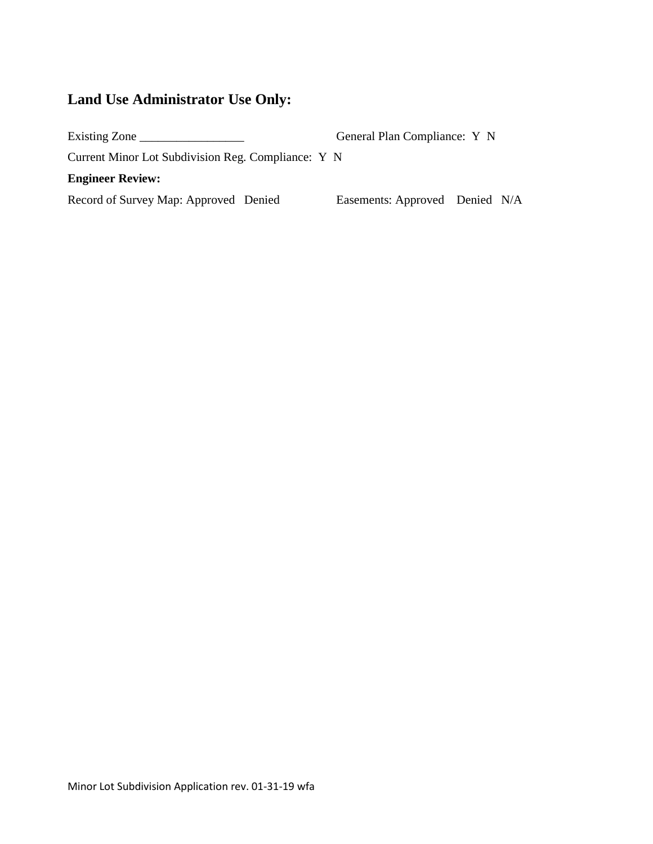## **Land Use Administrator Use Only:**

| Existing Zone                                      | General Plan Compliance: Y N   |  |
|----------------------------------------------------|--------------------------------|--|
| Current Minor Lot Subdivision Reg. Compliance: Y N |                                |  |
| <b>Engineer Review:</b>                            |                                |  |
| Record of Survey Map: Approved Denied              | Easements: Approved Denied N/A |  |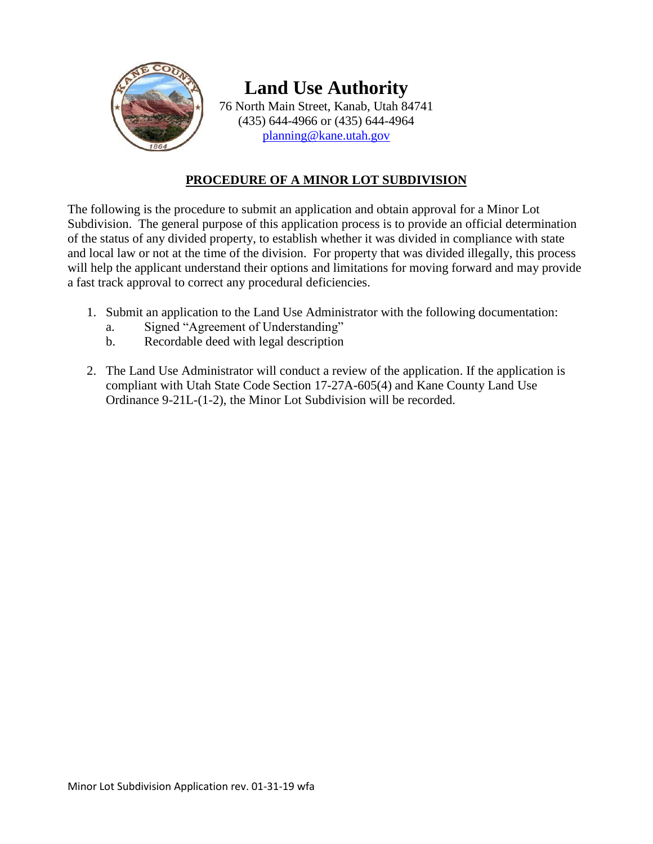

# **Land Use Authority**

76 North Main Street, Kanab, Utah 84741 (435) 644-4966 or (435) 644-4964 [planning@kane.utah.gov](mailto:planning@kane.utah.gov)

#### **PROCEDURE OF A MINOR LOT SUBDIVISION**

The following is the procedure to submit an application and obtain approval for a Minor Lot Subdivision. The general purpose of this application process is to provide an official determination of the status of any divided property, to establish whether it was divided in compliance with state and local law or not at the time of the division. For property that was divided illegally, this process will help the applicant understand their options and limitations for moving forward and may provide a fast track approval to correct any procedural deficiencies.

- 1. Submit an application to the Land Use Administrator with the following documentation:
	- a. Signed "Agreement of Understanding"
	- b. Recordable deed with legal description
- 2. The Land Use Administrator will conduct a review of the application. If the application is compliant with Utah State Code Section 17-27A-605(4) and Kane County Land Use Ordinance 9-21L-(1-2), the Minor Lot Subdivision will be recorded.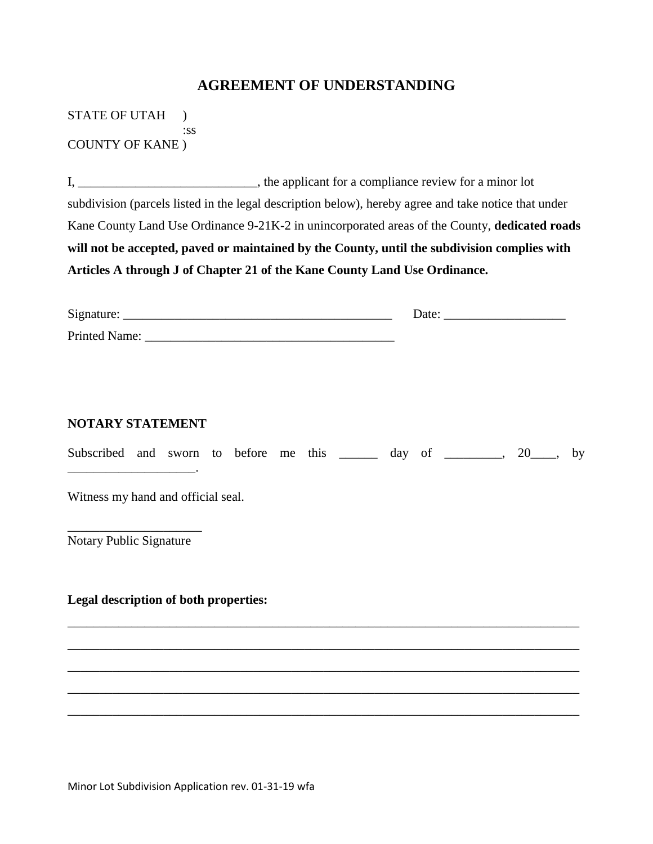#### **AGREEMENT OF UNDERSTANDING**

STATE OF UTAH ) :ss COUNTY OF KANE )

I, \_\_\_\_\_\_\_\_\_\_\_\_\_\_\_\_\_\_\_\_\_\_\_\_\_\_\_\_, the applicant for a compliance review for a minor lot subdivision (parcels listed in the legal description below), hereby agree and take notice that under Kane County Land Use Ordinance 9-21K-2 in unincorporated areas of the County, **dedicated roads will not be accepted, paved or maintained by the County, until the subdivision complies with Articles A through J of Chapter 21 of the Kane County Land Use Ordinance.**

| NOTARY STATEMENT                      | Subscribed and sworn to before me this _______ day of _______, 20___,                                                                                                 | by |
|---------------------------------------|-----------------------------------------------------------------------------------------------------------------------------------------------------------------------|----|
| Witness my hand and official seal.    |                                                                                                                                                                       |    |
| <b>Notary Public Signature</b>        |                                                                                                                                                                       |    |
| Legal description of both properties: |                                                                                                                                                                       |    |
|                                       | ,我们也不能在这里的时候,我们也不能在这里的时候,我们也不能会在这里,我们也不能会不能会不能会不能会不能会不能会不能会。""我们的是我们的,我们也不能会不能会不<br>,我们也不能在这里的时候,我们也不能在这里的时候,我们也不能会在这里的时候,我们也不能会在这里的时候,我们也不能会在这里的时候,我们也不能会在这里的时候,我们也不 |    |
|                                       |                                                                                                                                                                       |    |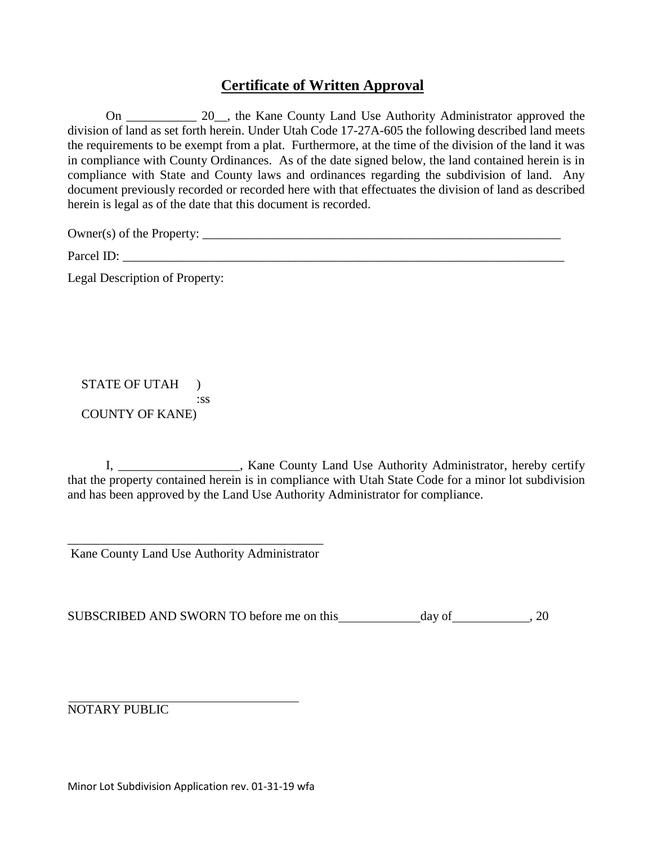### **Certificate of Written Approval**

On 20, the Kane County Land Use Authority Administrator approved the division of land as set forth herein. Under Utah Code 17-27A-605 the following described land meets the requirements to be exempt from a plat. Furthermore, at the time of the division of the land it was in compliance with County Ordinances. As of the date signed below, the land contained herein is in compliance with State and County laws and ordinances regarding the subdivision of land. Any document previously recorded or recorded here with that effectuates the division of land as described herein is legal as of the date that this document is recorded.

Owner(s) of the Property: \_\_\_\_\_\_\_\_\_\_\_\_\_\_\_\_\_\_\_\_\_\_\_\_\_\_\_\_\_\_\_\_\_\_\_\_\_\_\_\_\_\_\_\_\_\_\_\_\_\_\_\_\_\_\_\_

Parcel ID:

Legal Description of Property:

#### STATE OF UTAH ) :ss COUNTY OF KANE)

I, \_\_\_\_\_\_\_\_\_\_\_\_\_\_\_\_\_\_\_, Kane County Land Use Authority Administrator, hereby certify that the property contained herein is in compliance with Utah State Code for a minor lot subdivision and has been approved by the Land Use Authority Administrator for compliance.

\_\_\_\_\_\_\_\_\_\_\_\_\_\_\_\_\_\_\_\_\_\_\_\_\_\_\_\_\_\_\_\_\_\_\_\_\_\_\_\_ Kane County Land Use Authority Administrator

SUBSCRIBED AND SWORN TO before me on this \_\_\_\_\_\_\_\_\_\_\_\_ day of , 20

NOTARY PUBLIC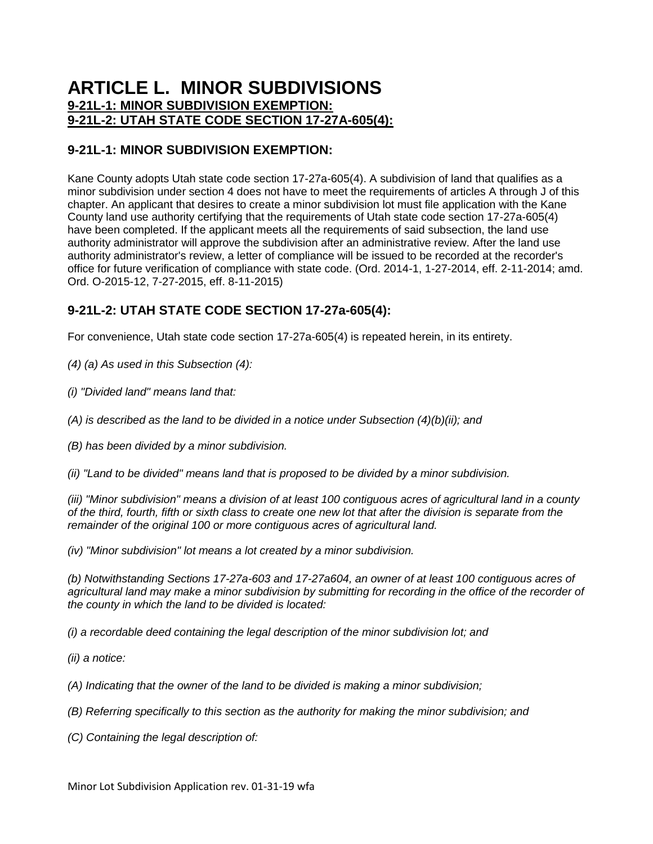### **ARTICLE L. MINOR SUBDIVISIONS [9-21L-1: MINOR SUBDIVISION EXEMPTION:](https://www.sterlingcodifiers.com/codebook/getBookData.php?id=&chapter_id=84049&keywords=#s1060235) [9-21L-2: UTAH STATE CODE SECTION 17-27A-605\(4\):](https://www.sterlingcodifiers.com/codebook/getBookData.php?id=&chapter_id=84049&keywords=#s1060236)**

#### **9-21L-1: MINOR SUBDIVISION EXEMPTION:**

Kane County adopts Utah state code section 17-27a-605(4). A subdivision of land that qualifies as a minor subdivision under section 4 does not have to meet the requirements of articles A through J of this chapter. An applicant that desires to create a minor subdivision lot must file application with the Kane County land use authority certifying that the requirements of Utah state code section 17-27a-605(4) have been completed. If the applicant meets all the requirements of said subsection, the land use authority administrator will approve the subdivision after an administrative review. After the land use authority administrator's review, a letter of compliance will be issued to be recorded at the recorder's office for future verification of compliance with state code. (Ord. 2014-1, 1-27-2014, eff. 2-11-2014; amd. Ord. O-2015-12, 7-27-2015, eff. 8-11-2015)

#### **9-21L-2: UTAH STATE CODE SECTION 17-27a-605(4):**

For convenience, Utah state code section 17-27a-605(4) is repeated herein, in its entirety.

*(4) (a) As used in this Subsection (4):*

*(i) "Divided land" means land that:*

*(A) is described as the land to be divided in a notice under Subsection (4)(b)(ii); and*

*(B) has been divided by a minor subdivision.*

*(ii) "Land to be divided" means land that is proposed to be divided by a minor subdivision.*

*(iii) "Minor subdivision" means a division of at least 100 contiguous acres of agricultural land in a county of the third, fourth, fifth or sixth class to create one new lot that after the division is separate from the remainder of the original 100 or more contiguous acres of agricultural land.*

*(iv) "Minor subdivision" lot means a lot created by a minor subdivision.*

*(b) Notwithstanding Sections 17-27a-603 and 17-27a604, an owner of at least 100 contiguous acres of*  agricultural land may make a minor subdivision by submitting for recording in the office of the recorder of *the county in which the land to be divided is located:*

*(i) a recordable deed containing the legal description of the minor subdivision lot; and*

*(ii) a notice:*

*(A) Indicating that the owner of the land to be divided is making a minor subdivision;*

*(B) Referring specifically to this section as the authority for making the minor subdivision; and*

*(C) Containing the legal description of:*